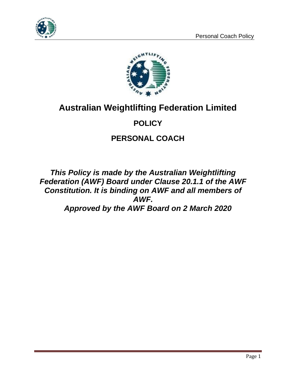



# **Australian Weightlifting Federation Limited**

# **POLICY**

## **PERSONAL COACH**

*This Policy is made by the Australian Weightlifting Federation (AWF) Board under Clause 20.1.1 of the AWF Constitution. It is binding on AWF and all members of AWF. Approved by the AWF Board on 2 March 2020*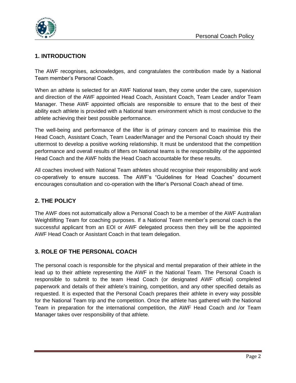

### **1. INTRODUCTION**

The AWF recognises, acknowledges, and congratulates the contribution made by a National Team member's Personal Coach.

When an athlete is selected for an AWF National team, they come under the care, supervision and direction of the AWF appointed Head Coach, Assistant Coach, Team Leader and/or Team Manager. These AWF appointed officials are responsible to ensure that to the best of their ability each athlete is provided with a National team environment which is most conducive to the athlete achieving their best possible performance.

The well-being and performance of the lifter is of primary concern and to maximise this the Head Coach, Assistant Coach, Team Leader/Manager and the Personal Coach should try their uttermost to develop a positive working relationship. It must be understood that the competition performance and overall results of lifters on National teams is the responsibility of the appointed Head Coach and the AWF holds the Head Coach accountable for these results.

All coaches involved with National Team athletes should recognise their responsibility and work co-operatively to ensure success. The AWF's "Guidelines for Head Coaches" document encourages consultation and co-operation with the lifter's Personal Coach ahead of time.

### **2. THE POLICY**

The AWF does not automatically allow a Personal Coach to be a member of the AWF Australian Weightlifting Team for coaching purposes. If a National Team member's personal coach is the successful applicant from an EOI or AWF delegated process then they will be the appointed AWF Head Coach or Assistant Coach in that team delegation.

### **3. ROLE OF THE PERSONAL COACH**

The personal coach is responsible for the physical and mental preparation of their athlete in the lead up to their athlete representing the AWF in the National Team. The Personal Coach is responsible to submit to the team Head Coach (or designated AWF official) completed paperwork and details of their athlete's training, competition, and any other specified details as requested. It is expected that the Personal Coach prepares their athlete in every way possible for the National Team trip and the competition. Once the athlete has gathered with the National Team in preparation for the international competition, the AWF Head Coach and /or Team Manager takes over responsibility of that athlete.